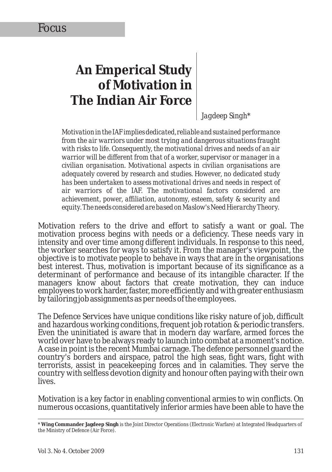# **An Emperical Study of Motivation in The Indian Air Force**

*Jagdeep Singh\**

*Motivation in the IAF implies dedicated, reliable and sustained performance from the air warriors under most trying and dangerous situations fraught with risks to life. Consequently, the motivational drives and needs of an air warrior will be different from that of a worker, supervisor or manager in a civilian organisation. Motivational aspects in civilian organisations are adequately covered by research and studies. However, no dedicated study has been undertaken to assess motivational drives and needs in respect of air warriors of the IAF. The motivational factors considered are achievement, power, affiliation, autonomy, esteem, safety & security and equity. The needs considered are based on Maslow's Need Hierarchy Theory.* 

Motivation refers to the drive and effort to satisfy a want or goal. The motivation process begins with needs or a deficiency. These needs vary in intensity and over time among different individuals. In response to this need, the worker searches for ways to satisfy it. From the manager's viewpoint, the objective is to motivate people to behave in ways that are in the organisations best interest. Thus, motivation is important because of its significance as a determinant of performance and because of its intangible character. If the managers know about factors that create motivation, they can induce employees to work harder, faster, more efficiently and with greater enthusiasm by tailoring job assignments as per needs of the employees.

The Defence Services have unique conditions like risky nature of job, difficult and hazardous working conditions, frequent job rotation & periodic transfers. Even the uninitiated is aware that in modern day warfare, armed forces the world over have to be always ready to launch into combat at a moment's notice. A case in point is the recent Mumbai carnage. The defence personnel guard the country's borders and airspace, patrol the high seas, fight wars, fight with terrorists, assist in peacekeeping forces and in calamities. They serve the country with selfless devotion dignity and honour often paying with their own lives.

Motivation is a key factor in enabling conventional armies to win conflicts. On numerous occasions, quantitatively inferior armies have been able to have the

<sup>\*</sup> **Wing Commander Jagdeep Singh** is the Joint Director Operations (Electronic Warfare) at Integrated Headquarters of the Ministry of Defence (Air Force).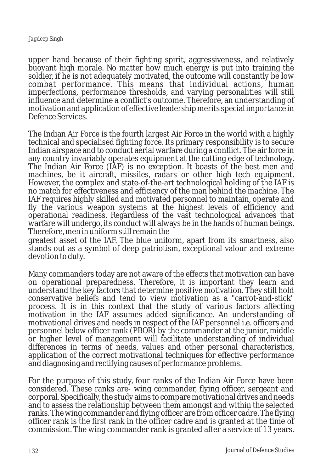#### *Jagdeep Singh*

upper hand because of their fighting spirit, aggressiveness, and relatively buoyant high morale. No matter how much energy is put into training the soldier, if he is not adequately motivated, the outcome will constantly be low combat performance. This means that individual actions, human imperfections, performance thresholds, and varying personalities will still influence and determine a conflict's outcome. Therefore, an understanding of motivation and application of effective leadership merits special importance in Defence Services.

The Indian Air Force is the fourth largest Air Force in the world with a highly technical and specialised fighting force. Its primary responsibility is to secure Indian airspace and to conduct aerial warfare during a conflict. The air force in any country invariably operates equipment at the cutting edge of technology. The Indian Air Force (IAF) is no exception. It boasts of the best men and machines, be it aircraft, missiles, radars or other high tech equipment. However, the complex and state-of-the-art technological holding of the IAF is no match for effectiveness and efficiency of the man behind the machine. The IAF requires highly skilled and motivated personnel to maintain, operate and fly the various weapon systems at the highest levels of efficiency and operational readiness. Regardless of the vast technological advances that warfare will undergo, its conduct will always be in the hands of human beings. Therefore, men in uniform still remain the

greatest asset of the IAF. The blue uniform, apart from its smartness, also stands out as a symbol of deep patriotism, exceptional valour and extreme devotion to duty.

Many commanders today are not aware of the effects that motivation can have on operational preparedness. Therefore, it is important they learn and understand the key factors that determine positive motivation. They still hold conservative beliefs and tend to view motivation as a "carrot-and-stick" process. It is in this context that the study of various factors affecting motivation in the IAF assumes added significance. An understanding of motivational drives and needs in respect of the IAF personnel i.e. officers and personnel below officer rank (PBOR) by the commander at the junior, middle or higher level of management will facilitate understanding of individual differences in terms of needs, values and other personal characteristics, application of the correct motivational techniques for effective performance and diagnosing and rectifying causes of performance problems.

For the purpose of this study, four ranks of the Indian Air Force have been considered. These ranks are- wing commander, flying officer, sergeant and corporal. Specifically, the study aims to compare motivational drives and needs and to assess the relationship between them amongst and within the selected ranks. The wing commander and flying officer are from officer cadre. The flying officer rank is the first rank in the officer cadre and is granted at the time of commission. The wing commander rank is granted after a service of 13 years.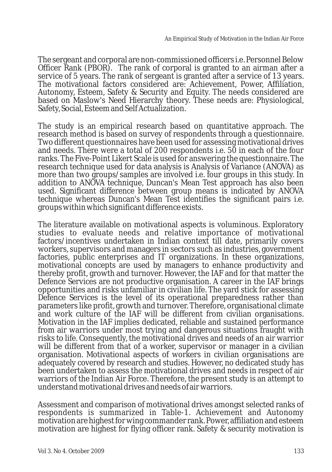The sergeant and corporal are non-commissioned officers i.e. Personnel Below Officer Rank (PBOR). The rank of corporal is granted to an airman after a service of 5 years. The rank of sergeant is granted after a service of 13 years. The motivational factors considered are: Achievement, Power, Affiliation, Autonomy, Esteem, Safety & Security and Equity. The needs considered are based on Maslow's Need Hierarchy theory. These needs are: Physiological, Safety, Social, Esteem and Self Actualization.

The study is an empirical research based on quantitative approach. The research method is based on survey of respondents through a questionnaire. Two different questionnaires have been used for assessing motivational drives and needs. There were a total of 200 respondents i.e. 50 in each of the four ranks. The Five-Point Likert Scale is used for answering the questionnaire. The research technique used for data analysis is Analysis of Variance (ANOVA) as more than two groups/samples are involved i.e. four groups in this study. In addition to ANOVA technique, Duncan's Mean Test approach has also been used. Significant difference between group means is indicated by ANOVA technique whereas Duncan's Mean Test identifies the significant pairs i.e. groups within which significant difference exists.

The literature available on motivational aspects is voluminous. Exploratory studies to evaluate needs and relative importance of motivational factors/incentives undertaken in Indian context till date, primarily covers workers, supervisors and managers in sectors such as industries, government factories, public enterprises and IT organizations. In these organizations, motivational concepts are used by managers to enhance productivity and thereby profit, growth and turnover. However, the IAF and for that matter the Defence Services are not productive organisation. A career in the IAF brings opportunities and risks unfamiliar in civilian life. The yard stick for assessing Defence Services is the level of its operational preparedness rather than parameters like profit, growth and turnover. Therefore, organisational climate and work culture of the IAF will be different from civilian organisations. Motivation in the IAF implies dedicated, reliable and sustained performance from air warriors under most trying and dangerous situations fraught with risks to life. Consequently, the motivational drives and needs of an air warrior will be different from that of a worker, supervisor or manager in a civilian organisation. Motivational aspects of workers in civilian organisations are adequately covered by research and studies. However, no dedicated study has been undertaken to assess the motivational drives and needs in respect of air warriors of the Indian Air Force. Therefore, the present study is an attempt to understand motivational drives and needs of air warriors.

Assessment and comparison of motivational drives amongst selected ranks of respondents is summarized in Table-1. Achievement and Autonomy motivation are highest for wing commander rank. Power, affiliation and esteem motivation are highest for flying officer rank. Safety & security motivation is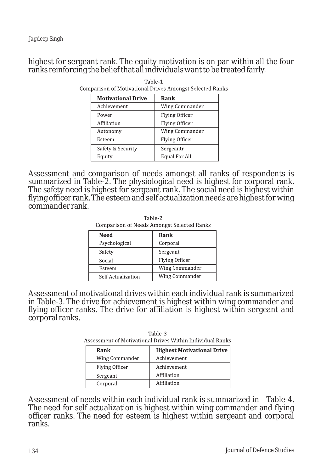# highest for sergeant rank. The equity motivation is on par within all the four ranks reinforcing the belief that all individuals want to be treated fairly.

| <b>Motivational Drive</b> | Rank                  |
|---------------------------|-----------------------|
| Achievement               | Wing Commander        |
| Power                     | <b>Flying Officer</b> |
| Affiliation               | Flying Officer        |
| Autonomy                  | Wing Commander        |
| Esteem                    | Flying Officer        |
| Safety & Security         | Sergeantr             |
| Equity                    | Equal For All         |

Table-1 **Comparison of Motivational Drives Amongst Selected Ranks** 

Assessment and comparison of needs amongst all ranks of respondents is summarized in Table-2. The physiological need is highest for corporal rank. The safety need is highest for sergeant rank. The social need is highest within flying officer rank. The esteem and self actualization needs are highest for wing commander rank.

| <b>Comparison of Needs Amongst Selected Ranks</b> |                |
|---------------------------------------------------|----------------|
| Need                                              | Rank           |
| Psychological                                     | Corporal       |
| Safety                                            | Sergeant       |
| Social                                            | Flying Officer |
| Esteem                                            | Wing Commander |
| Self Actualization                                | Wing Commander |

Table-2

Assessment of motivational drives within each individual rank is summarized in Table-3. The drive for achievement is highest within wing commander and flying officer ranks. The drive for affiliation is highest within sergeant and corporal ranks.

Table-3 Assessment of Motivational Drives Within Individual Ranks

| Rank           | <b>Highest Motivational Drive</b> |
|----------------|-----------------------------------|
| Wing Commander | Achievement                       |
| Flying Officer | Achievement                       |
| Sergeant       | Affiliation                       |
| Corporal       | Affiliation                       |

Assessment of needs within each individual rank is summarized in Table-4. The need for self actualization is highest within wing commander and flying officer ranks. The need for esteem is highest within sergeant and corporal ranks.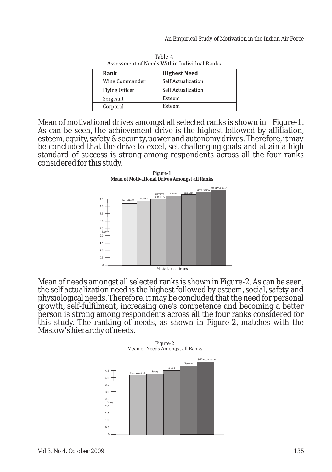| Азэсээшсис ог весаз ташиг шагтаад вашзэ |                     |  |
|-----------------------------------------|---------------------|--|
| Rank                                    | <b>Highest Need</b> |  |
| Wing Commander                          | Self Actualization  |  |
| Flying Officer                          | Self Actualization  |  |
| Sergeant                                | Esteem              |  |
| Corporal                                | Esteem              |  |

Table-4 Assessment of Needs Within Individual Ranks

Mean of motivational drives amongst all selected ranks is shown in Figure-1. As can be seen, the achievement drive is the highest followed by affiliation, esteem, equity, safety & security, power and autonomy drives. Therefore, it may be concluded that the drive to excel, set challenging goals and attain a high standard of success is strong among respondents across all the four ranks considered for this study.

**Figure-1 Mean of Motivational Drives Amongst all Ranks**



Mean of needs amongst all selected ranks is shown in Figure-2. As can be seen, the self actualization need is the highest followed by esteem, social, safety and physiological needs. Therefore, it may be concluded that the need for personal growth, self-fulfilment, increasing one's competence and becoming a better person is strong among respondents across all the four ranks considered for this study. The ranking of needs, as shown in Figure-2, matches with the Maslow's hierarchy of needs.

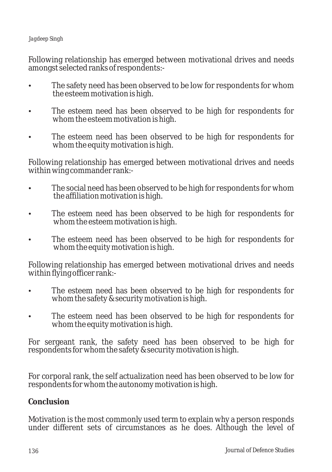## *Jagdeep Singh*

Following relationship has emerged between motivational drives and needs

- amongst selected ranks of respondents:<br>• The safety need has been observe<br>the esteem motivation is high. The safety need has been observed to be low for respondents for whom
- ?the esteem motivation is high. The esteem need has been observed to be high for respondents for
- ?whom the esteem motivation is high. The esteem need has been observed to be high for respondents for whom the equity motivation is high.

Following relationship has emerged between motivational drives and needs within wing commander rank:-

- The social need has been observed to be high for respondents for whom<br>the affiliation motivation is high.
- ?the affiliation motivation is high. The esteem need has been observed to be high for respondents for
- ?whom the esteem motivation is high. The esteem need has been observed to be high for respondents for whom the equity motivation is high.

Following relationship has emerged between motivational drives and needs

- within flying officer rank:-<br>
 The esteem need has been observed to be l<br>
whom the safety & security motivation is high. The esteem need has been observed to be high for respondents for
- whom the safety & security motivation is high.<br>
 The esteem need has been observed to be high for respondents for whom the equity motivation is high.

For sergeant rank, the safety need has been observed to be high for respondents for whom the safety & security motivation is high.

For corporal rank, the self actualization need has been observed to be low for respondents for whom the autonomy motivation is high.

**Conclusion**

Motivation is the most commonly used term to explain why a person responds under different sets of circumstances as he does. Although the level of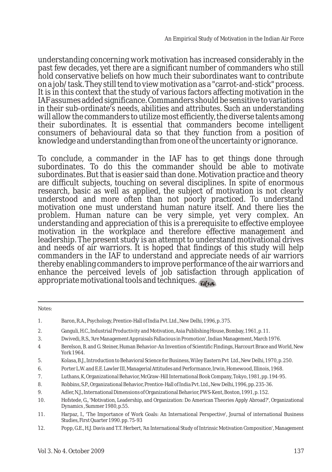understanding concerning work motivation has increased considerably in the past few decades, yet there are a significant number of commanders who still hold conservative beliefs on how much their subordinates want to contribute on a job/task. They still tend to view motivation as a "carrot-and-stick" process. It is in this context that the study of various factors affecting motivation in the IAF assumes added significance. Commanders should be sensitive to variations in their sub-ordinate's needs, abilities and attributes. Such an understanding will allow the commanders to utilize most efficiently, the diverse talents among their subordinates. It is essential that commanders become intelligent consumers of behavioural data so that they function from a position of knowledge and understanding than from one of the uncertainty or ignorance.

To conclude, a commander in the IAF has to get things done through subordinates. To do this the commander should be able to motivate subordinates. But that is easier said than done. Motivation practice and theory are difficult subjects, touching on several disciplines. In spite of enormous research, basic as well as applied, the subject of motivation is not clearly understood and more often than not poorly practiced. To understand motivation one must understand human nature itself. And there lies the problem. Human nature can be very simple, yet very complex. An understanding and appreciation of this is a prerequisite to effective employee motivation in the workplace and therefore effective management and leadership. The present study is an attempt to understand motivational drives and needs of air warriors. It is hoped that findings of this study will help commanders in the IAF to understand and appreciate needs of air warriors thereby enabling commanders to improve performance of the air warriors and enhance the perceived levels of job satisfaction through application of appropriate motivational tools and techniques.

Notes:

- 1. Baron, R.A., Psychology, Prentice-Hall of India Pvt. Ltd., New Delhi, 1996, p. 375. 2. Ganguli, H.C., Industrial Productivity and Motivation, Asia Publishing House, Bombay, 1961, p. 11. 3. Dwivedi, R.S., 'Are Management Appraisals Fallacious in Promotion', Indian Management, March 1976. 4 Berelson, B. and G. Steiner, Human Behavior-An Invention of Scientific Findings, Harcourt Brace and World, New York 1964. 5. Kolasa, B.J., Introduction to Behavioral Science for Business, Wiley Eastern Pvt Ltd., New Delhi, 1970, p. 250. 6. Porter L.W. and E.E. Lawler III, Managerial Attitudes and Performance, Irwin, Homewood, Illinois, 1968. 7. Luthans, K, Organizational Behavior, McGraw-Hill International Book Company, Tokyo, 1981, pp. 194-95. 8. Robbins, S.P., Organizational Behavior, Prentice-Hall of India Pvt. Ltd., New Delhi, 1996, pp. 235-36. 9. Adler, N.J., International Dimensions of Organizational Behavior, PWS-Kent, Boston, 1991, p. 152. 10. Hofstede, G., 'Motivation, Leadership, and Organization: Do American Theories Apply Abroad?', Organizational Dynamics , Summer 1980, p.55.
- 11. Harpaz, I., 'The Importance of Work Goals: An International Perspective', Journal of international Business Studies, First Quarter 1990. pp. 75-93
- $12.$ 12. Popp, G.E., H.J. Davis and T.T. Herbert, 'An International Study of Intrinsic Motivation Composition', Management